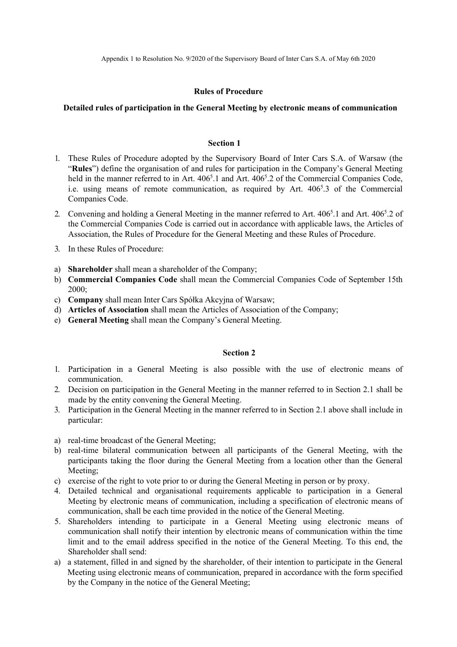Appendix 1 to Resolution No. 9/2020 of the Supervisory Board of Inter Cars S.A. of May 6th 2020

## Rules of Procedure

## Detailed rules of participation in the General Meeting by electronic means of communication

#### Section 1

- 1. These Rules of Procedure adopted by the Supervisory Board of Inter Cars S.A. of Warsaw (the "Rules") define the organisation of and rules for participation in the Company's General Meeting held in the manner referred to in Art. 406<sup>5</sup>.1 and Art. 406<sup>5</sup>.2 of the Commercial Companies Code, i.e. using means of remote communication, as required by Art. 406<sup>5</sup>.3 of the Commercial Companies Code.
- 2. Convening and holding a General Meeting in the manner referred to Art. 406<sup>5</sup>.1 and Art. 406<sup>5</sup>.2 of the Commercial Companies Code is carried out in accordance with applicable laws, the Articles of Association, the Rules of Procedure for the General Meeting and these Rules of Procedure.
- 3. In these Rules of Procedure:
- a) Shareholder shall mean a shareholder of the Company;
- b) Commercial Companies Code shall mean the Commercial Companies Code of September 15th 2000;
- c) Company shall mean Inter Cars Spółka Akcyjna of Warsaw;
- d) Articles of Association shall mean the Articles of Association of the Company;
- e) General Meeting shall mean the Company's General Meeting.

## Section 2

- 1. Participation in a General Meeting is also possible with the use of electronic means of communication.
- 2. Decision on participation in the General Meeting in the manner referred to in Section 2.1 shall be made by the entity convening the General Meeting.
- 3. Participation in the General Meeting in the manner referred to in Section 2.1 above shall include in particular:
- a) real-time broadcast of the General Meeting;
- b) real-time bilateral communication between all participants of the General Meeting, with the participants taking the floor during the General Meeting from a location other than the General Meeting;
- c) exercise of the right to vote prior to or during the General Meeting in person or by proxy.
- 4. Detailed technical and organisational requirements applicable to participation in a General Meeting by electronic means of communication, including a specification of electronic means of communication, shall be each time provided in the notice of the General Meeting.
- 5. Shareholders intending to participate in a General Meeting using electronic means of communication shall notify their intention by electronic means of communication within the time limit and to the email address specified in the notice of the General Meeting. To this end, the Shareholder shall send:
- a) a statement, filled in and signed by the shareholder, of their intention to participate in the General Meeting using electronic means of communication, prepared in accordance with the form specified by the Company in the notice of the General Meeting;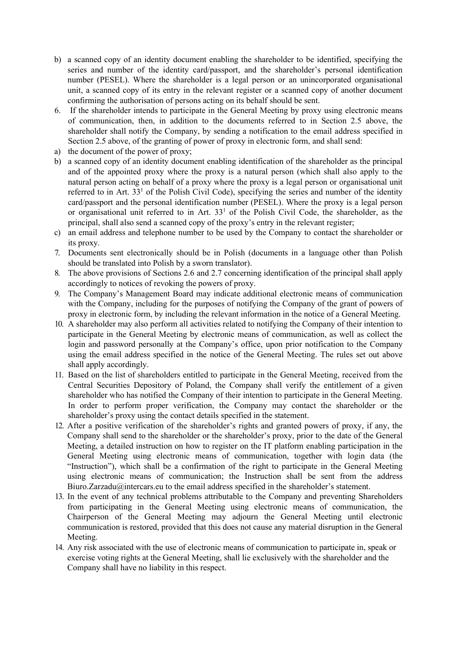- b) a scanned copy of an identity document enabling the shareholder to be identified, specifying the series and number of the identity card/passport, and the shareholder's personal identification number (PESEL). Where the shareholder is a legal person or an unincorporated organisational unit, a scanned copy of its entry in the relevant register or a scanned copy of another document confirming the authorisation of persons acting on its behalf should be sent.
- 6. If the shareholder intends to participate in the General Meeting by proxy using electronic means of communication, then, in addition to the documents referred to in Section 2.5 above, the shareholder shall notify the Company, by sending a notification to the email address specified in Section 2.5 above, of the granting of power of proxy in electronic form, and shall send:
- a) the document of the power of proxy;
- b) a scanned copy of an identity document enabling identification of the shareholder as the principal and of the appointed proxy where the proxy is a natural person (which shall also apply to the natural person acting on behalf of a proxy where the proxy is a legal person or organisational unit referred to in Art. 33<sup>1</sup> of the Polish Civil Code), specifying the series and number of the identity card/passport and the personal identification number (PESEL). Where the proxy is a legal person or organisational unit referred to in Art. 33<sup>1</sup> of the Polish Civil Code, the shareholder, as the principal, shall also send a scanned copy of the proxy's entry in the relevant register;
- c) an email address and telephone number to be used by the Company to contact the shareholder or its proxy.
- 7. Documents sent electronically should be in Polish (documents in a language other than Polish should be translated into Polish by a sworn translator).
- 8. The above provisions of Sections 2.6 and 2.7 concerning identification of the principal shall apply accordingly to notices of revoking the powers of proxy.
- 9. The Company's Management Board may indicate additional electronic means of communication with the Company, including for the purposes of notifying the Company of the grant of powers of proxy in electronic form, by including the relevant information in the notice of a General Meeting.
- 10. A shareholder may also perform all activities related to notifying the Company of their intention to participate in the General Meeting by electronic means of communication, as well as collect the login and password personally at the Company's office, upon prior notification to the Company using the email address specified in the notice of the General Meeting. The rules set out above shall apply accordingly.
- 11. Based on the list of shareholders entitled to participate in the General Meeting, received from the Central Securities Depository of Poland, the Company shall verify the entitlement of a given shareholder who has notified the Company of their intention to participate in the General Meeting. In order to perform proper verification, the Company may contact the shareholder or the shareholder's proxy using the contact details specified in the statement.
- 12. After a positive verification of the shareholder's rights and granted powers of proxy, if any, the Company shall send to the shareholder or the shareholder's proxy, prior to the date of the General Meeting, a detailed instruction on how to register on the IT platform enabling participation in the General Meeting using electronic means of communication, together with login data (the "Instruction"), which shall be a confirmation of the right to participate in the General Meeting using electronic means of communication; the Instruction shall be sent from the address Biuro.Zarzadu@intercars.eu to the email address specified in the shareholder's statement.
- 13. In the event of any technical problems attributable to the Company and preventing Shareholders from participating in the General Meeting using electronic means of communication, the Chairperson of the General Meeting may adjourn the General Meeting until electronic communication is restored, provided that this does not cause any material disruption in the General Meeting.
- 14. Any risk associated with the use of electronic means of communication to participate in, speak or exercise voting rights at the General Meeting, shall lie exclusively with the shareholder and the Company shall have no liability in this respect.